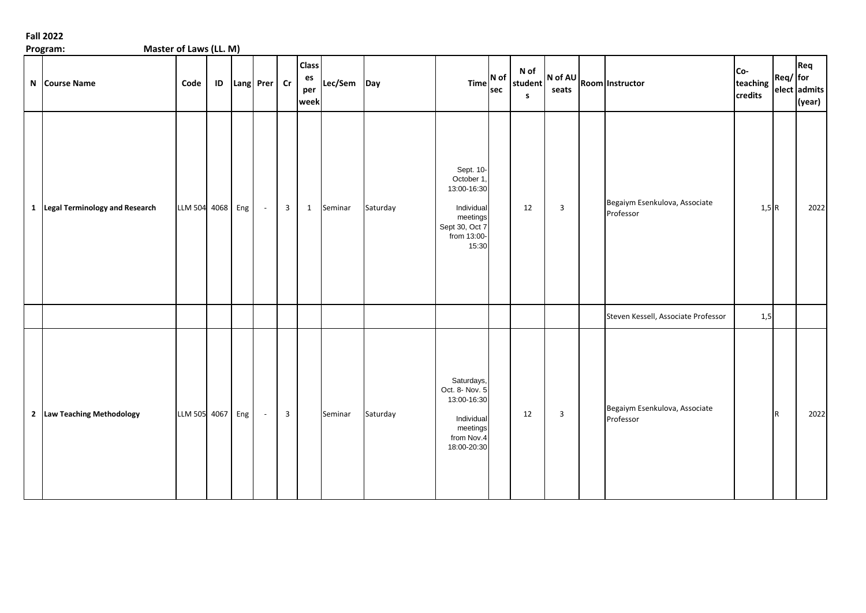| Master of Laws (LL. M)<br>Program: |                  |    |                |                |                                   |             |          |                                                                                                            |     |                                 |                |                                                            |                            |              |                               |
|------------------------------------|------------------|----|----------------|----------------|-----------------------------------|-------------|----------|------------------------------------------------------------------------------------------------------------|-----|---------------------------------|----------------|------------------------------------------------------------|----------------------------|--------------|-------------------------------|
| N Course Name                      | Code             | ID | Lang Prer Cr   |                | <b>Class</b><br>es<br>per<br>week | Lec/Sem Day |          | $Time$ N of $\vert$                                                                                        | sec | N of<br>student<br>$\mathbf{s}$ |                | $\left  N \text{ of } AU \right $ Room $\left $ Instructor | Co-<br>teaching<br>credits | Req/ for     | Req<br>elect admits<br>(year) |
| 1 Legal Terminology and Research   | LLM 504 4068 Eng |    | $\sim$         | $\overline{3}$ |                                   | 1 Seminar   | Saturday | Sept. 10-<br>October 1,<br>13:00-16:30<br>Individual<br>meetings<br>Sept 30, Oct 7<br>from 13:00-<br>15:30 |     | 12                              | $\overline{3}$ | Begaiym Esenkulova, Associate<br>Professor                 | $1,5$ <sub>R</sub>         |              | 2022                          |
|                                    |                  |    |                |                |                                   |             |          |                                                                                                            |     |                                 |                | Steven Kessell, Associate Professor                        | 1,5                        |              |                               |
| 2 Law Teaching Methodology         | LLM 505 4067 Eng |    | $\mathbb{Z}^2$ | $\overline{3}$ |                                   | Seminar     | Saturday | Saturdays,<br>Oct. 8- Nov. 5<br>13:00-16:30<br>Individual<br>meetings<br>from Nov.4<br>18:00-20:30         |     | 12                              | $\overline{3}$ | Begaiym Esenkulova, Associate<br>Professor                 |                            | $\mathsf{R}$ | 2022                          |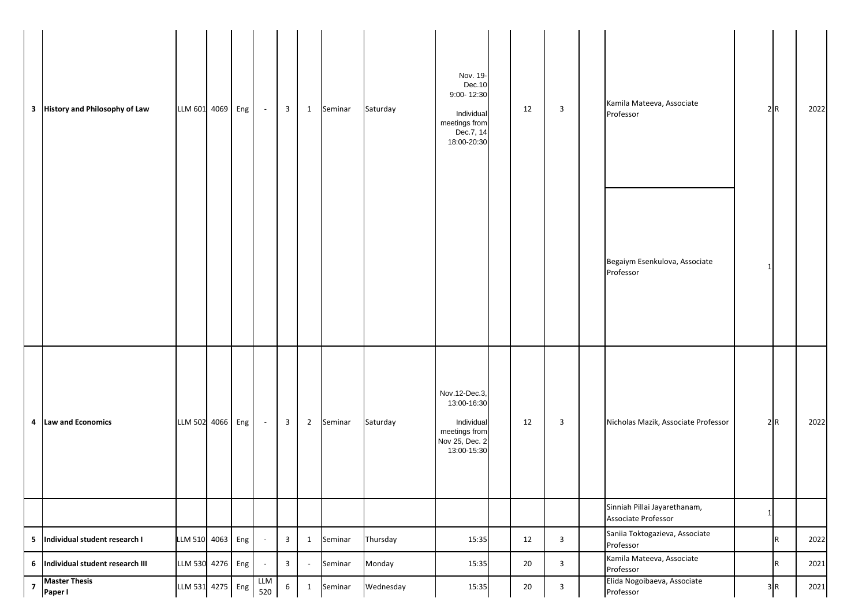| 3              | <b>History and Philosophy of Law</b> | LLM 601 4069 Eng |  | $\overline{\phantom{a}}$    | 3               | 1              | Seminar | Saturday  | Nov. 19-<br>Dec.10<br>9:00-12:30<br>Individual<br>meetings from<br>Dec.7, 14<br>18:00-20:30  | 12 | 3            | Kamila Mateeva, Associate<br>Professor              |              | 2R  | 2022 |
|----------------|--------------------------------------|------------------|--|-----------------------------|-----------------|----------------|---------|-----------|----------------------------------------------------------------------------------------------|----|--------------|-----------------------------------------------------|--------------|-----|------|
|                |                                      |                  |  |                             |                 |                |         |           |                                                                                              |    |              | Begaiym Esenkulova, Associate<br>Professor          |              |     |      |
|                | 4 Law and Economics                  | LLM 502 4066 Eng |  | $\overline{\phantom{a}}$    | 3               | $\overline{2}$ | Seminar | Saturday  | Nov.12-Dec.3,<br>13:00-16:30<br>Individual<br>meetings from<br>Nov 25, Dec. 2<br>13:00-15:30 | 12 | 3            | Nicholas Mazik, Associate Professor                 |              | 2R  | 2022 |
|                |                                      |                  |  |                             |                 |                |         |           |                                                                                              |    |              | Sinniah Pillai Jayarethanam,<br>Associate Professor | $\mathbf{1}$ |     |      |
|                | 5 Individual student research I      | LLM 510 4063 Eng |  | $\overline{\phantom{a}}$    | $\mathbf{3}$    | 1              | Seminar | Thursday  | 15:35                                                                                        | 12 | $\mathbf{3}$ | Saniia Toktogazieva, Associate<br>Professor         |              | R   | 2022 |
|                | 6 Individual student research III    | LLM 530 4276 Eng |  | $\mathcal{L}_{\mathcal{A}}$ | $\mathbf{3}$    | $\sim$         | Seminar | Monday    | 15:35                                                                                        | 20 | $\mathbf{3}$ | Kamila Mateeva, Associate<br>Professor              |              | IR. | 2021 |
| $\overline{7}$ | <b>Master Thesis</b><br>Paper I      | LLM 531 4275 Eng |  | <b>LLM</b><br>520           | $6\overline{6}$ | $\mathbf{1}$   | Seminar | Wednesday | 15:35                                                                                        | 20 | $\mathbf{3}$ | Elida Nogoibaeva, Associate<br>Professor            |              | 3R  | 2021 |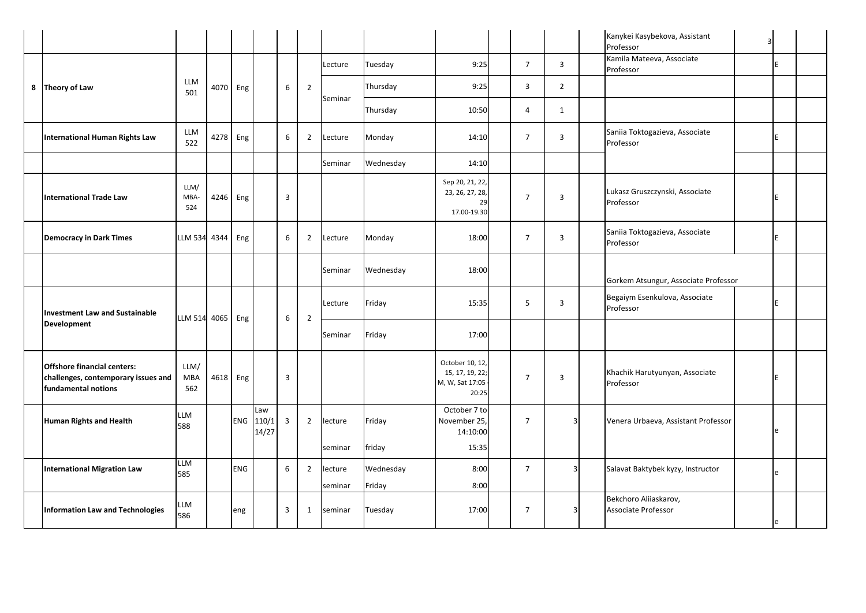|  |                                                                                                  |                           |          |            |                       |                |                |                    |                     |                                                               |                |                | Kanykei Kasybekova, Assistant<br>Professor   | 3 |    |
|--|--------------------------------------------------------------------------------------------------|---------------------------|----------|------------|-----------------------|----------------|----------------|--------------------|---------------------|---------------------------------------------------------------|----------------|----------------|----------------------------------------------|---|----|
|  |                                                                                                  |                           |          |            |                       |                |                | Lecture            | Tuesday             | 9:25                                                          | $\overline{7}$ | $\overline{3}$ | Kamila Mateeva, Associate<br>Professor       |   |    |
|  | 8 Theory of Law                                                                                  | <b>LLM</b><br>501         |          | 4070 Eng   |                       | 6              | $\overline{2}$ | Seminar            | Thursday            | 9:25                                                          | 3              | $\overline{2}$ |                                              |   |    |
|  |                                                                                                  |                           |          |            |                       |                |                |                    | Thursday            | 10:50                                                         | 4              | $\mathbf{1}$   |                                              |   |    |
|  | <b>International Human Rights Law</b>                                                            | <b>LLM</b><br>522         |          | 4278 Eng   |                       | 6              | $\overline{2}$ | Lecture            | Monday              | 14:10                                                         | $\overline{7}$ | 3              | Saniia Toktogazieva, Associate<br>Professor  |   |    |
|  |                                                                                                  |                           |          |            |                       |                |                | Seminar            | Wednesday           | 14:10                                                         |                |                |                                              |   |    |
|  | <b>International Trade Law</b>                                                                   | LLM/<br>MBA-<br>524       |          | 4246 Eng   |                       | 3              |                |                    |                     | Sep 20, 21, 22,<br>23, 26, 27, 28,<br>29<br>17.00-19.30       | $\overline{7}$ | 3              | Lukasz Gruszczynski, Associate<br>Professor  |   | F. |
|  | <b>Democracy in Dark Times</b>                                                                   | <b>LLM 534</b>            | 4344 Eng |            |                       | 6              | 2              | Lecture            | Monday              | 18:00                                                         | $\overline{7}$ | 3              | Saniia Toktogazieva, Associate<br>Professor  |   |    |
|  |                                                                                                  |                           |          |            |                       |                |                | Seminar            | Wednesday           | 18:00                                                         |                |                | Gorkem Atsungur, Associate Professor         |   |    |
|  | <b>Investment Law and Sustainable</b>                                                            | LLM 514 4065 Eng          |          |            |                       | 6              | $\overline{2}$ | Lecture            | Friday              | 15:35                                                         | 5              | 3              | Begaiym Esenkulova, Associate<br>Professor   |   | E  |
|  | <b>Development</b>                                                                               |                           |          |            |                       |                |                | Seminar            | Friday              | 17:00                                                         |                |                |                                              |   |    |
|  | <b>Offshore financial centers:</b><br>challenges, contemporary issues and<br>fundamental notions | LLM/<br><b>MBA</b><br>562 |          | 4618 Eng   |                       | 3              |                |                    |                     | October 10, 12,<br>15, 17, 19, 22<br>M, W, Sat 17:05<br>20:25 | $\overline{7}$ | 3              | Khachik Harutyunyan, Associate<br>Professor  |   | E  |
|  | Human Rights and Health                                                                          | LLM<br>588                |          | <b>ENG</b> | Law<br>110/1<br>14/27 | $\overline{3}$ | $\overline{2}$ | lecture<br>seminar | Friday<br>friday    | October 7 to<br>November 25,<br>14:10:00<br>15:35             | $\overline{7}$ | 3              | Venera Urbaeva, Assistant Professor          |   | e  |
|  | <b>International Migration Law</b>                                                               | LLM<br>585                |          | <b>ENG</b> |                       | 6              | $\overline{2}$ | lecture<br>seminar | Wednesday<br>Friday | 8:00<br>8:00                                                  | $\overline{7}$ | 3              | Salavat Baktybek kyzy, Instructor            |   | e  |
|  | <b>Information Law and Technologies</b>                                                          | LM<br>586                 |          | eng        |                       | 3              | $\mathbf{1}$   | seminar            | Tuesday             | 17:00                                                         | $\overline{7}$ |                | Bekchoro Aliiaskarov,<br>Associate Professor |   |    |